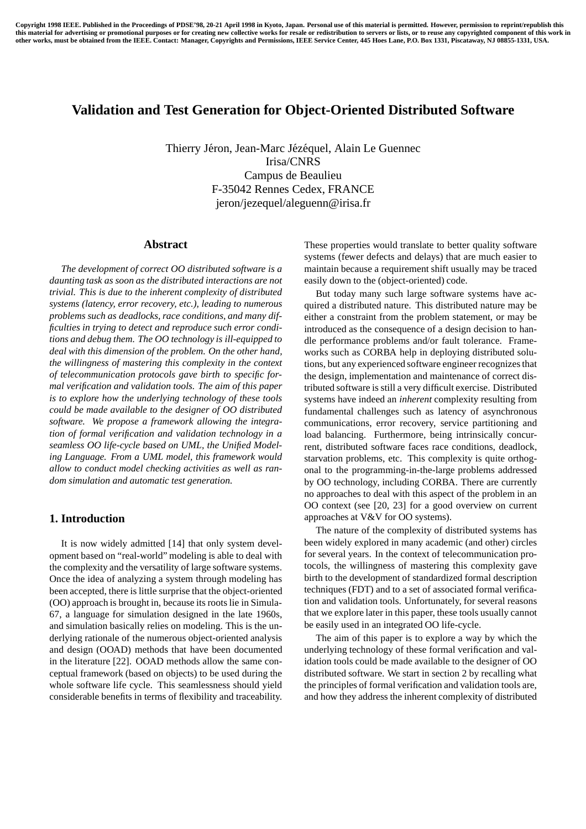# **Validation and Test Generation for Object-Oriented Distributed Software**

Thierry Jéron, Jean-Marc Jézéquel, Alain Le Guennec Irisa/CNRS Campus de Beaulieu F-35042 Rennes Cedex, FRANCE jeron/jezequel/aleguenn@irisa.fr

# **Abstract**

*The development of correct OO distributed software is a daunting task as soon as the distributed interactions are not trivial. This is due to the inherent complexity of distributed systems (latency, error recovery, etc.), leading to numerous problems such as deadlocks, race conditions, and many difficulties in trying to detect and reproduce such error conditions and debug them. The OO technology is ill-equipped to deal with this dimension of the problem. On the other hand, the willingness of mastering this complexity in the context of telecommunication protocols gave birth to specific formal verification and validation tools. The aim of this paper is to explore how the underlying technology of these tools could be made available to the designer of OO distributed software. We propose a framework allowing the integration of formal verification and validation technology in a seamless OO life-cycle based on UML, the Unified Modeling Language. From a UML model, this framework would allow to conduct model checking activities as well as random simulation and automatic test generation.*

### **1. Introduction**

It is now widely admitted [14] that only system development based on "real-world" modeling is able to deal with the complexity and the versatility of large software systems. Once the idea of analyzing a system through modeling has been accepted, there is little surprise that the object-oriented (OO) approach is brought in, because its roots lie in Simula-67, a language for simulation designed in the late 1960s, and simulation basically relies on modeling. This is the underlying rationale of the numerous object-oriented analysis and design (OOAD) methods that have been documented in the literature [22]. OOAD methods allow the same conceptual framework (based on objects) to be used during the whole software life cycle. This seamlessness should yield considerable benefits in terms of flexibility and traceability. These properties would translate to better quality software systems (fewer defects and delays) that are much easier to maintain because a requirement shift usually may be traced easily down to the (object-oriented) code.

But today many such large software systems have acquired a distributed nature. This distributed nature may be either a constraint from the problem statement, or may be introduced as the consequence of a design decision to handle performance problems and/or fault tolerance. Frameworks such as CORBA help in deploying distributed solutions, but any experienced software engineer recognizes that the design, implementation and maintenance of correct distributed software is still a very difficult exercise. Distributed systems have indeed an *inherent* complexity resulting from fundamental challenges such as latency of asynchronous communications, error recovery, service partitioning and load balancing. Furthermore, being intrinsically concurrent, distributed software faces race conditions, deadlock, starvation problems, etc. This complexity is quite orthogonal to the programming-in-the-large problems addressed by OO technology, including CORBA. There are currently no approaches to deal with this aspect of the problem in an OO context (see [20, 23] for a good overview on current approaches at V&V for OO systems).

The nature of the complexity of distributed systems has been widely explored in many academic (and other) circles for several years. In the context of telecommunication protocols, the willingness of mastering this complexity gave birth to the development of standardized formal description techniques (FDT) and to a set of associated formal verification and validation tools. Unfortunately, for several reasons that we explore later in this paper, these tools usually cannot be easily used in an integrated OO life-cycle.

The aim of this paper is to explore a way by which the underlying technology of these formal verification and validation tools could be made available to the designer of OO distributed software. We start in section 2 by recalling what the principles of formal verification and validation tools are, and how they address the inherent complexity of distributed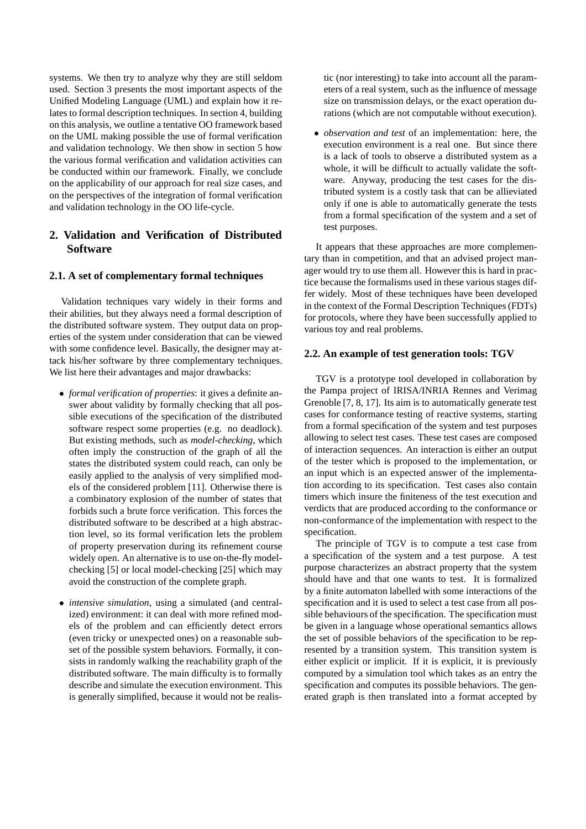systems. We then try to analyze why they are still seldom used. Section 3 presents the most important aspects of the Unified Modeling Language (UML) and explain how it relates to formal description techniques. In section 4, building on this analysis, we outline a tentative OO framework based on the UML making possible the use of formal verification and validation technology. We then show in section 5 how the various formal verification and validation activities can be conducted within our framework. Finally, we conclude on the applicability of our approach for real size cases, and on the perspectives of the integration of formal verification and validation technology in the OO life-cycle.

# **2. Validation and Verification of Distributed Software**

## **2.1. A set of complementary formal techniques**

Validation techniques vary widely in their forms and their abilities, but they always need a formal description of the distributed software system. They output data on properties of the system under consideration that can be viewed with some confidence level. Basically, the designer may attack his/her software by three complementary techniques. We list here their advantages and major drawbacks:

- *formal verification of properties*: it gives a definite answer about validity by formally checking that all possible executions of the specification of the distributed software respect some properties (e.g. no deadlock). But existing methods, such as *model-checking*, which often imply the construction of the graph of all the states the distributed system could reach, can only be easily applied to the analysis of very simplified models of the considered problem [11]. Otherwise there is a combinatory explosion of the number of states that forbids such a brute force verification. This forces the distributed software to be described at a high abstraction level, so its formal verification lets the problem of property preservation during its refinement course widely open. An alternative is to use on-the-fly modelchecking [5] or local model-checking [25] which may avoid the construction of the complete graph.
- *intensive simulation*, using a simulated (and centralized) environment: it can deal with more refined models of the problem and can efficiently detect errors (even tricky or unexpected ones) on a reasonable subset of the possible system behaviors. Formally, it consists in randomly walking the reachability graph of the distributed software. The main difficulty is to formally describe and simulate the execution environment. This is generally simplified, because it would not be realis-

tic (nor interesting) to take into account all the parameters of a real system, such as the influence of message size on transmission delays, or the exact operation durations (which are not computable without execution).

• *observation and test* of an implementation: here, the execution environment is a real one. But since there is a lack of tools to observe a distributed system as a whole, it will be difficult to actually validate the software. Anyway, producing the test cases for the distributed system is a costly task that can be allieviated only if one is able to automatically generate the tests from a formal specification of the system and a set of test purposes.

It appears that these approaches are more complementary than in competition, and that an advised project manager would try to use them all. However this is hard in practice because the formalisms used in these various stages differ widely. Most of these techniques have been developed in the context of the Formal Description Techniques (FDTs) for protocols, where they have been successfully applied to various toy and real problems.

### **2.2. An example of test generation tools: TGV**

TGV is a prototype tool developed in collaboration by the Pampa project of IRISA/INRIA Rennes and Verimag Grenoble [7, 8, 17]. Its aim is to automatically generate test cases for conformance testing of reactive systems, starting from a formal specification of the system and test purposes allowing to select test cases. These test cases are composed of interaction sequences. An interaction is either an output of the tester which is proposed to the implementation, or an input which is an expected answer of the implementation according to its specification. Test cases also contain timers which insure the finiteness of the test execution and verdicts that are produced according to the conformance or non-conformance of the implementation with respect to the specification.

The principle of TGV is to compute a test case from a specification of the system and a test purpose. A test purpose characterizes an abstract property that the system should have and that one wants to test. It is formalized by a finite automaton labelled with some interactions of the specification and it is used to select a test case from all possible behaviours of the specification. The specification must be given in a language whose operational semantics allows the set of possible behaviors of the specification to be represented by a transition system. This transition system is either explicit or implicit. If it is explicit, it is previously computed by a simulation tool which takes as an entry the specification and computes its possible behaviors. The generated graph is then translated into a format accepted by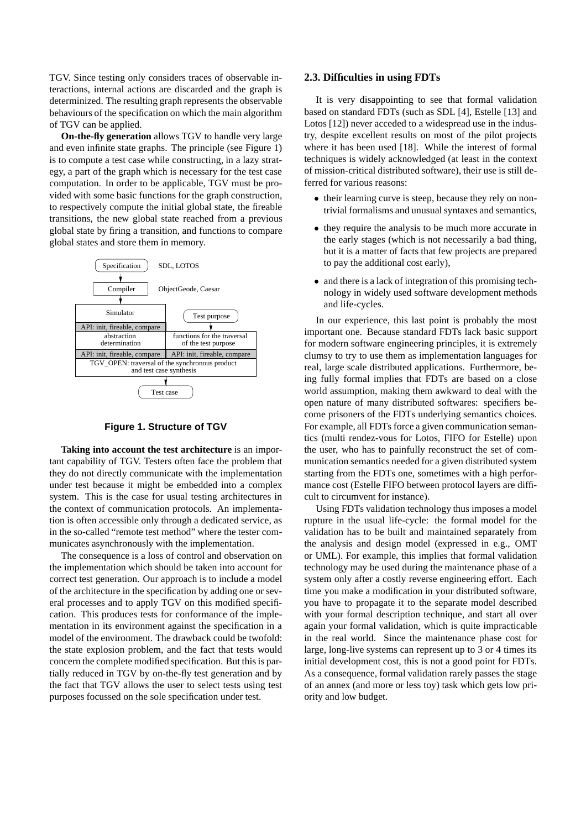TGV. Since testing only considers traces of observable interactions, internal actions are discarded and the graph is determinized. The resulting graph represents the observable behaviours of the specification on which the main algorithm of TGV can be applied.

**On-the-fly generation** allows TGV to handle very large and even infinite state graphs. The principle (see Figure 1) is to compute a test case while constructing, in a lazy strategy, a part of the graph which is necessary for the test case computation. In order to be applicable, TGV must be provided with some basic functions for the graph construction, to respectively compute the initial global state, the fireable transitions, the new global state reached from a previous global state by firing a transition, and functions to compare global states and store them in memory.



#### **Figure 1. Structure of TGV**

**Taking into account the test architecture** is an important capability of TGV. Testers often face the problem that they do not directly communicate with the implementation under test because it might be embedded into a complex system. This is the case for usual testing architectures in the context of communication protocols. An implementation is often accessible only through a dedicated service, as in the so-called "remote test method" where the tester communicates asynchronously with the implementation.

The consequence is a loss of control and observation on the implementation which should be taken into account for correct test generation. Our approach is to include a model of the architecture in the specification by adding one or several processes and to apply TGV on this modified specification. This produces tests for conformance of the implementation in its environment against the specification in a model of the environment. The drawback could be twofold: the state explosion problem, and the fact that tests would concern the complete modified specification. But this is partially reduced in TGV by on-the-fly test generation and by the fact that TGV allows the user to select tests using test purposes focussed on the sole specification under test.

### **2.3. Difficulties in using FDTs**

It is very disappointing to see that formal validation based on standard FDTs (such as SDL [4], Estelle [13] and Lotos [12]) never acceded to a widespread use in the industry, despite excellent results on most of the pilot projects where it has been used [18]. While the interest of formal techniques is widely acknowledged (at least in the context of mission-critical distributed software), their use is still deferred for various reasons:

- their learning curve is steep, because they rely on nontrivial formalisms and unusual syntaxes and semantics,
- they require the analysis to be much more accurate in the early stages (which is not necessarily a bad thing, but it is a matter of facts that few projects are prepared to pay the additional cost early),
- and there is a lack of integration of this promising technology in widely used software development methods and life-cycles.

In our experience, this last point is probably the most important one. Because standard FDTs lack basic support for modern software engineering principles, it is extremely clumsy to try to use them as implementation languages for real, large scale distributed applications. Furthermore, being fully formal implies that FDTs are based on a close world assumption, making them awkward to deal with the open nature of many distributed softwares: specifiers become prisoners of the FDTs underlying semantics choices. For example, all FDTs force a given communication semantics (multi rendez-vous for Lotos, FIFO for Estelle) upon the user, who has to painfully reconstruct the set of communication semantics needed for a given distributed system starting from the FDTs one, sometimes with a high performance cost (Estelle FIFO between protocol layers are difficult to circumvent for instance).

Using FDTs validation technology thus imposes a model rupture in the usual life-cycle: the formal model for the validation has to be built and maintained separately from the analysis and design model (expressed in e.g., OMT or UML). For example, this implies that formal validation technology may be used during the maintenance phase of a system only after a costly reverse engineering effort. Each time you make a modification in your distributed software, you have to propagate it to the separate model described with your formal description technique, and start all over again your formal validation, which is quite impracticable in the real world. Since the maintenance phase cost for large, long-live systems can represent up to 3 or 4 times its initial development cost, this is not a good point for FDTs. As a consequence, formal validation rarely passes the stage of an annex (and more or less toy) task which gets low priority and low budget.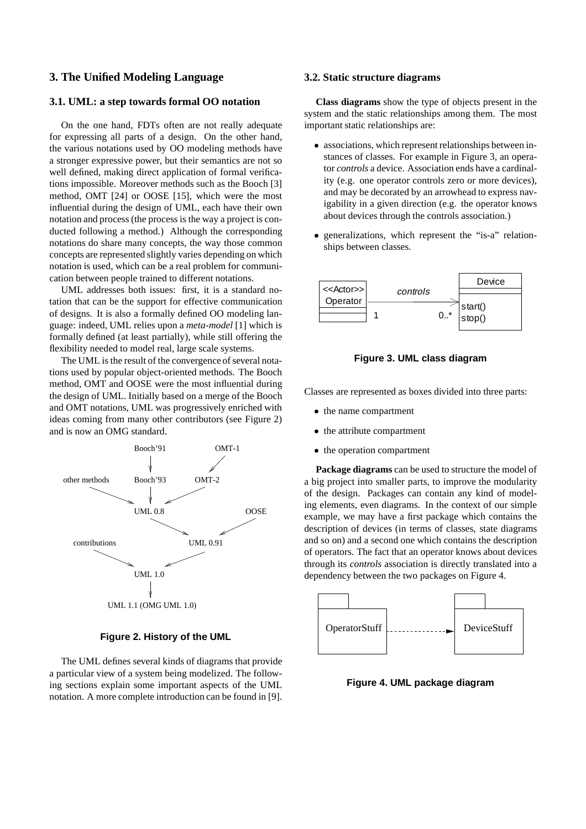# **3. The Unified Modeling Language**

### **3.1. UML: a step towards formal OO notation**

On the one hand, FDTs often are not really adequate for expressing all parts of a design. On the other hand, the various notations used by OO modeling methods have a stronger expressive power, but their semantics are not so well defined, making direct application of formal verifications impossible. Moreover methods such as the Booch [3] method, OMT [24] or OOSE [15], which were the most influential during the design of UML, each have their own notation and process (the process is the way a project is conducted following a method.) Although the corresponding notations do share many concepts, the way those common concepts are represented slightly varies depending on which notation is used, which can be a real problem for communication between people trained to different notations.

UML addresses both issues: first, it is a standard notation that can be the support for effective communication of designs. It is also a formally defined OO modeling language: indeed, UML relies upon a *meta-model* [1] which is formally defined (at least partially), while still offering the flexibility needed to model real, large scale systems.

The UML is the result of the convergence of several notations used by popular object-oriented methods. The Booch method, OMT and OOSE were the most influential during the design of UML. Initially based on a merge of the Booch and OMT notations, UML was progressively enriched with ideas coming from many other contributors (see Figure 2) and is now an OMG standard.



**Figure 2. History of the UML**

The UML defines several kinds of diagrams that provide a particular view of a system being modelized. The following sections explain some important aspects of the UML notation. A more complete introduction can be found in [9].

### **3.2. Static structure diagrams**

**Class diagrams** show the type of objects present in the system and the static relationships among them. The most important static relationships are:

- associations, which represent relationships between instances of classes. For example in Figure 3, an operator *controls* a device. Association ends have a cardinality (e.g. one operator controls zero or more devices), and may be decorated by an arrowhead to express navigability in a given direction (e.g. the operator knows about devices through the controls association.)
- generalizations, which represent the "is-a" relationships between classes.



**Figure 3. UML class diagram**

Classes are represented as boxes divided into three parts:

- the name compartment
- the attribute compartment
- the operation compartment

**Package diagrams** can be used to structure the model of a big project into smaller parts, to improve the modularity of the design. Packages can contain any kind of modeling elements, even diagrams. In the context of our simple example, we may have a first package which contains the description of devices (in terms of classes, state diagrams and so on) and a second one which contains the description of operators. The fact that an operator knows about devices through its *controls* association is directly translated into a dependency between the two packages on Figure 4.



**Figure 4. UML package diagram**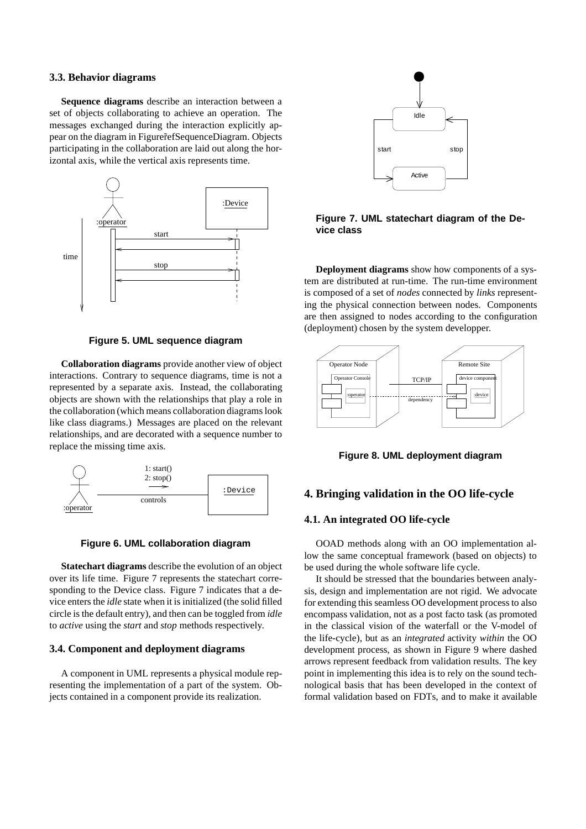### **3.3. Behavior diagrams**

**Sequence diagrams** describe an interaction between a set of objects collaborating to achieve an operation. The messages exchanged during the interaction explicitly appear on the diagram in Figurere fSequence Diagram. Objects participating in the collaboration are laid out along the horizontal axis, while the vertical axis represents time.



**Figure 5. UML sequence diagram**

**Collaboration diagrams** provide another view of object interactions. Contrary to sequence diagrams, time is not a represented by a separate axis. Instead, the collaborating objects are shown with the relationships that play a role in the collaboration (which means collaboration diagrams look like class diagrams.) Messages are placed on the relevant relationships, and are decorated with a sequence number to replace the missing time axis.



**Figure 6. UML collaboration diagram**

**Statechart diagrams** describe the evolution of an object over its life time. Figure 7 represents the statechart corresponding to the Device class. Figure 7 indicates that a device enters the *idle* state when it is initialized (the solid filled circle is the default entry), and then can be toggled from *idle* to *active* using the *start* and *stop* methods respectively.

### **3.4. Component and deployment diagrams**

A component in UML represents a physical module representing the implementation of a part of the system. Objects contained in a component provide its realization.



**Figure 7. UML statechart diagram of the Device class**

**Deployment diagrams** show how components of a system are distributed at run-time. The run-time environment is composed of a set of *nodes* connected by *links* representing the physical connection between nodes. Components are then assigned to nodes according to the configuration (deployment) chosen by the system developper.



**Figure 8. UML deployment diagram**

# **4. Bringing validation in the OO life-cycle**

### **4.1. An integrated OO life-cycle**

OOAD methods along with an OO implementation allow the same conceptual framework (based on objects) to be used during the whole software life cycle.

It should be stressed that the boundaries between analysis, design and implementation are not rigid. We advocate for extending this seamless OO development process to also encompass validation, not as a post facto task (as promoted in the classical vision of the waterfall or the V-model of the life-cycle), but as an *integrated* activity *within* the OO development process, as shown in Figure 9 where dashed arrows represent feedback from validation results. The key point in implementing this idea is to rely on the sound technological basis that has been developed in the context of formal validation based on FDTs, and to make it available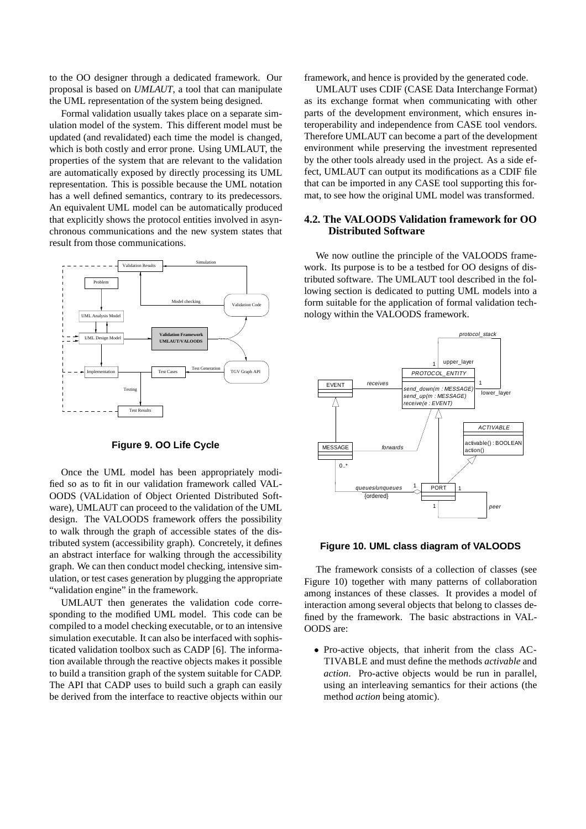to the OO designer through a dedicated framework. Our proposal is based on *UMLAUT*, a tool that can manipulate the UML representation of the system being designed.

Formal validation usually takes place on a separate simulation model of the system. This different model must be updated (and revalidated) each time the model is changed, which is both costly and error prone. Using UMLAUT, the properties of the system that are relevant to the validation are automatically exposed by directly processing its UML representation. This is possible because the UML notation has a well defined semantics, contrary to its predecessors. An equivalent UML model can be automatically produced that explicitly shows the protocol entities involved in asynchronous communications and the new system states that result from those communications.



**Figure 9. OO Life Cycle**

Once the UML model has been appropriately modified so as to fit in our validation framework called VAL-OODS (VALidation of Object Oriented Distributed Software), UMLAUT can proceed to the validation of the UML design. The VALOODS framework offers the possibility to walk through the graph of accessible states of the distributed system (accessibility graph). Concretely, it defines an abstract interface for walking through the accessibility graph. We can then conduct model checking, intensive simulation, or test cases generation by plugging the appropriate "validation engine" in the framework.

UMLAUT then generates the validation code corresponding to the modified UML model. This code can be compiled to a model checking executable, or to an intensive simulation executable. It can also be interfaced with sophisticated validation toolbox such as CADP [6]. The information available through the reactive objects makes it possible to build a transition graph of the system suitable for CADP. The API that CADP uses to build such a graph can easily be derived from the interface to reactive objects within our framework, and hence is provided by the generated code.

UMLAUT uses CDIF (CASE Data Interchange Format) as its exchange format when communicating with other parts of the development environment, which ensures interoperability and independence from CASE tool vendors. Therefore UMLAUT can become a part of the development environment while preserving the investment represented by the other tools already used in the project. As a side effect, UMLAUT can output its modifications as a CDIF file that can be imported in any CASE tool supporting this format, to see how the original UML model was transformed.

# **4.2. The VALOODS Validation framework for OO Distributed Software**

We now outline the principle of the VALOODS framework. Its purpose is to be a testbed for OO designs of distributed software. The UMLAUT tool described in the following section is dedicated to putting UML models into a form suitable for the application of formal validation technology within the VALOODS framework.



#### **Figure 10. UML class diagram of VALOODS**

The framework consists of a collection of classes (see Figure 10) together with many patterns of collaboration among instances of these classes. It provides a model of interaction among several objects that belong to classes defined by the framework. The basic abstractions in VAL-OODS are:

• Pro-active objects, that inherit from the class AC-TIVABLE and must define the methods *activable* and *action*. Pro-active objects would be run in parallel, using an interleaving semantics for their actions (the method *action* being atomic).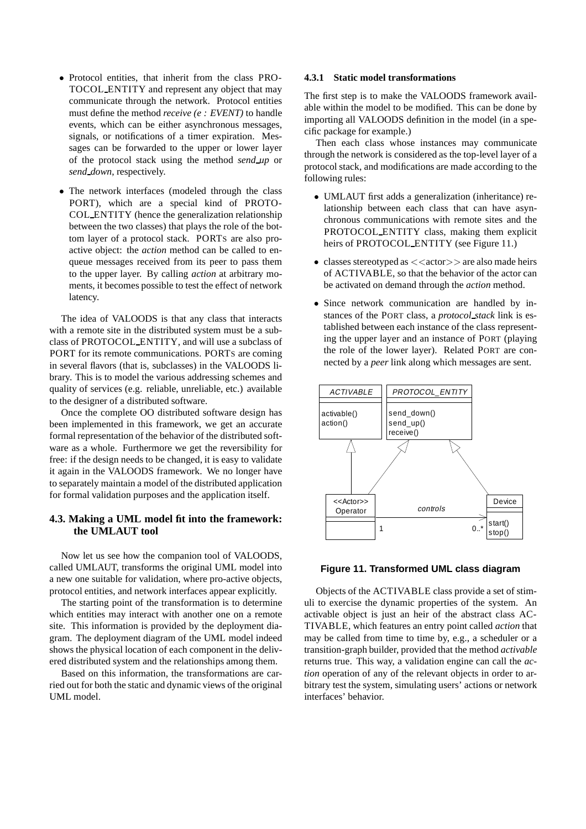- Protocol entities, that inherit from the class PRO-TOCOL ENTITY and represent any object that may communicate through the network. Protocol entities must define the method *receive (e : EVENT)* to handle events, which can be either asynchronous messages, signals, or notifications of a timer expiration. Messages can be forwarded to the upper or lower layer of the protocol stack using the method *send up* or *send down*, respectively.
- The network interfaces (modeled through the class PORT), which are a special kind of PROTO-COL ENTITY (hence the generalization relationship between the two classes) that plays the role of the bottom layer of a protocol stack. PORTS are also proactive object: the *action* method can be called to enqueue messages received from its peer to pass them to the upper layer. By calling *action* at arbitrary moments, it becomes possible to test the effect of network latency.

The idea of VALOODS is that any class that interacts with a remote site in the distributed system must be a subclass of PROTOCOL ENTITY, and will use a subclass of PORT for its remote communications. PORTS are coming in several flavors (that is, subclasses) in the VALOODS library. This is to model the various addressing schemes and quality of services (e.g. reliable, unreliable, etc.) available to the designer of a distributed software.

Once the complete OO distributed software design has been implemented in this framework, we get an accurate formal representation of the behavior of the distributed software as a whole. Furthermore we get the reversibility for free: if the design needs to be changed, it is easy to validate it again in the VALOODS framework. We no longer have to separately maintain a model of the distributed application for formal validation purposes and the application itself.

### **4.3. Making a UML model fit into the framework: the UMLAUT tool**

Now let us see how the companion tool of VALOODS, called UMLAUT, transforms the original UML model into a new one suitable for validation, where pro-active objects, protocol entities, and network interfaces appear explicitly.

The starting point of the transformation is to determine which entities may interact with another one on a remote site. This information is provided by the deployment diagram. The deployment diagram of the UML model indeed shows the physical location of each component in the delivered distributed system and the relationships among them.

Based on this information, the transformations are carried out for both the static and dynamic views of the original UML model.

#### **4.3.1 Static model transformations**

The first step is to make the VALOODS framework available within the model to be modified. This can be done by importing all VALOODS definition in the model (in a specific package for example.)

Then each class whose instances may communicate through the network is considered as the top-level layer of a protocol stack, and modifications are made according to the following rules:

- UMLAUT first adds a generalization (inheritance) relationship between each class that can have asynchronous communications with remote sites and the PROTOCOL ENTITY class, making them explicit heirs of PROTOCOL ENTITY (see Figure 11.)
- classes stereotyped as  $\langle \langle \text{actor} \rangle \rangle$  are also made heirs of ACTIVABLE, so that the behavior of the actor can be activated on demand through the *action* method.
- Since network communication are handled by instances of the PORT class, a *protocol stack* link is established between each instance of the class representing the upper layer and an instance of PORT (playing the role of the lower layer). Related PORT are connected by a *peer* link along which messages are sent.



### **Figure 11. Transformed UML class diagram**

Objects of the ACTIVABLE class provide a set of stimuli to exercise the dynamic properties of the system. An activable object is just an heir of the abstract class AC-TIVABLE, which features an entry point called *action* that may be called from time to time by, e.g., a scheduler or a transition-graph builder, provided that the method *activable* returns true. This way, a validation engine can call the *action* operation of any of the relevant objects in order to arbitrary test the system, simulating users' actions or network interfaces' behavior.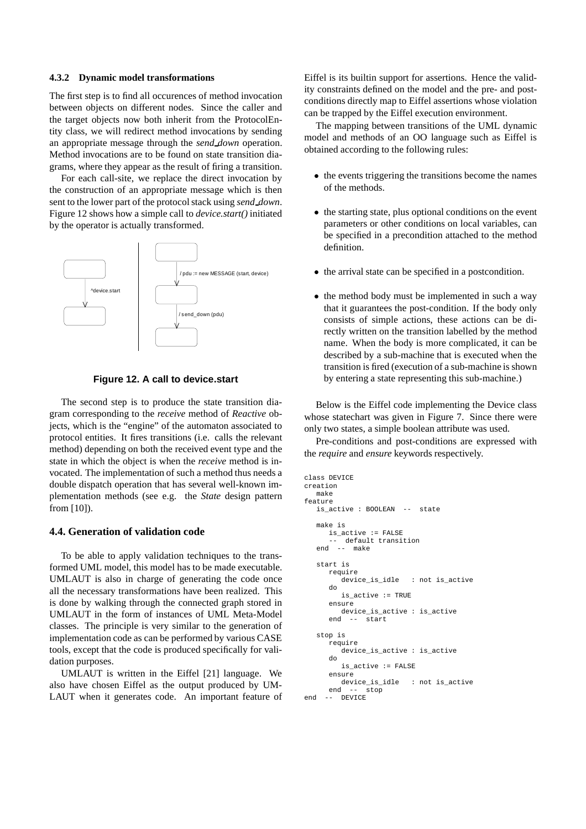#### **4.3.2 Dynamic model transformations**

The first step is to find all occurences of method invocation between objects on different nodes. Since the caller and the target objects now both inherit from the ProtocolEntity class, we will redirect method invocations by sending an appropriate message through the *send down* operation. Method invocations are to be found on state transition diagrams, where they appear as the result of firing a transition.

For each call-site, we replace the direct invocation by the construction of an appropriate message which is then sent to the lower part of the protocol stack using *send down*. Figure 12 shows how a simple call to *device.start()* initiated by the operator is actually transformed.



#### **Figure 12. A call to device.start**

The second step is to produce the state transition diagram corresponding to the *receive* method of *Reactive* objects, which is the "engine" of the automaton associated to protocol entities. It fires transitions (i.e. calls the relevant method) depending on both the received event type and the state in which the object is when the *receive* method is invocated. The implementation of such a method thus needs a double dispatch operation that has several well-known implementation methods (see e.g. the *State* design pattern from [10]).

### **4.4. Generation of validation code**

To be able to apply validation techniques to the transformed UML model, this model has to be made executable. UMLAUT is also in charge of generating the code once all the necessary transformations have been realized. This is done by walking through the connected graph stored in UMLAUT in the form of instances of UML Meta-Model classes. The principle is very similar to the generation of implementation code as can be performed by various CASE tools, except that the code is produced specifically for validation purposes.

UMLAUT is written in the Eiffel [21] language. We also have chosen Eiffel as the output produced by UM-LAUT when it generates code. An important feature of Eiffel is its builtin support for assertions. Hence the validity constraints defined on the model and the pre- and postconditions directly map to Eiffel assertions whose violation can be trapped by the Eiffel execution environment.

The mapping between transitions of the UML dynamic model and methods of an OO language such as Eiffel is obtained according to the following rules:

- the events triggering the transitions become the names of the methods.
- the starting state, plus optional conditions on the event parameters or other conditions on local variables, can be specified in a precondition attached to the method definition.
- the arrival state can be specified in a postcondition.
- the method body must be implemented in such a way that it guarantees the post-condition. If the body only consists of simple actions, these actions can be directly written on the transition labelled by the method name. When the body is more complicated, it can be described by a sub-machine that is executed when the transition is fired (execution of a sub-machine is shown by entering a state representing this sub-machine.)

Below is the Eiffel code implementing the Device class whose statechart was given in Figure 7. Since there were only two states, a simple boolean attribute was used.

Pre-conditions and post-conditions are expressed with the *require* and *ensure* keywords respectively.

```
class DEVICE
creation
   make
feature
   is active : BOOLEAN -- state
   make is
      is_active := FALSE
          default transition
   end -- make
   start is
      require<br>device_is_idle
                           : not is_active
      do
         is_active := TRUE
      ensure
         device is active : is active
      end -- start
   stop is
      require
         device_is_active : is_active
      do
         is active := FALSE
      ensure
      device_is_idle : not is_active<br>end -- stop
      end -- stop
end -- DEVICE
```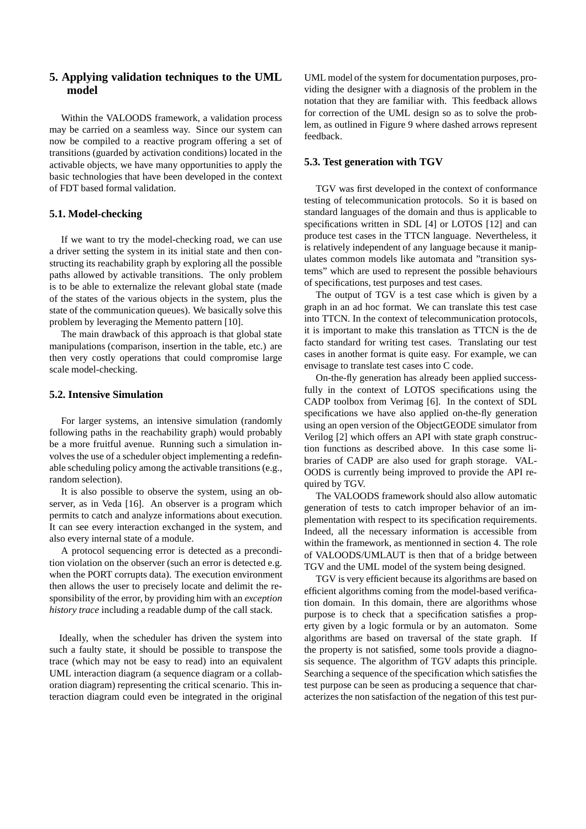# **5. Applying validation techniques to the UML model**

Within the VALOODS framework, a validation process may be carried on a seamless way. Since our system can now be compiled to a reactive program offering a set of transitions (guarded by activation conditions) located in the activable objects, we have many opportunities to apply the basic technologies that have been developed in the context of FDT based formal validation.

# **5.1. Model-checking**

If we want to try the model-checking road, we can use a driver setting the system in its initial state and then constructing its reachability graph by exploring all the possible paths allowed by activable transitions. The only problem is to be able to externalize the relevant global state (made of the states of the various objects in the system, plus the state of the communication queues). We basically solve this problem by leveraging the Memento pattern [10].

The main drawback of this approach is that global state manipulations (comparison, insertion in the table, etc.) are then very costly operations that could compromise large scale model-checking.

### **5.2. Intensive Simulation**

For larger systems, an intensive simulation (randomly following paths in the reachability graph) would probably be a more fruitful avenue. Running such a simulation involves the use of a scheduler object implementing a redefinable scheduling policy among the activable transitions (e.g., random selection).

It is also possible to observe the system, using an observer, as in Veda [16]. An observer is a program which permits to catch and analyze informations about execution. It can see every interaction exchanged in the system, and also every internal state of a module.

A protocol sequencing error is detected as a precondition violation on the observer (such an error is detected e.g. when the PORT corrupts data). The execution environment then allows the user to precisely locate and delimit the responsibility of the error, by providing him with an *exception history trace* including a readable dump of the call stack.

Ideally, when the scheduler has driven the system into such a faulty state, it should be possible to transpose the trace (which may not be easy to read) into an equivalent UML interaction diagram (a sequence diagram or a collaboration diagram) representing the critical scenario. This interaction diagram could even be integrated in the original UML model of the system for documentation purposes, providing the designer with a diagnosis of the problem in the notation that they are familiar with. This feedback allows for correction of the UML design so as to solve the problem, as outlined in Figure 9 where dashed arrows represent feedback.

#### **5.3. Test generation with TGV**

TGV was first developed in the context of conformance testing of telecommunication protocols. So it is based on standard languages of the domain and thus is applicable to specifications written in SDL [4] or LOTOS [12] and can produce test cases in the TTCN language. Nevertheless, it is relatively independent of any language because it manipulates common models like automata and "transition systems" which are used to represent the possible behaviours of specifications, test purposes and test cases.

The output of TGV is a test case which is given by a graph in an ad hoc format. We can translate this test case into TTCN. In the context of telecommunication protocols, it is important to make this translation as TTCN is the de facto standard for writing test cases. Translating our test cases in another format is quite easy. For example, we can envisage to translate test cases into C code.

On-the-fly generation has already been applied successfully in the context of LOTOS specifications using the CADP toolbox from Verimag [6]. In the context of SDL specifications we have also applied on-the-fly generation using an open version of the ObjectGEODE simulator from Verilog [2] which offers an API with state graph construction functions as described above. In this case some libraries of CADP are also used for graph storage. VAL-OODS is currently being improved to provide the API required by TGV.

The VALOODS framework should also allow automatic generation of tests to catch improper behavior of an implementation with respect to its specification requirements. Indeed, all the necessary information is accessible from within the framework, as mentionned in section 4. The role of VALOODS/UMLAUT is then that of a bridge between TGV and the UML model of the system being designed.

TGV is very efficient because its algorithms are based on efficient algorithms coming from the model-based verification domain. In this domain, there are algorithms whose purpose is to check that a specification satisfies a property given by a logic formula or by an automaton. Some algorithms are based on traversal of the state graph. If the property is not satisfied, some tools provide a diagnosis sequence. The algorithm of TGV adapts this principle. Searching a sequence of the specification which satisfies the test purpose can be seen as producing a sequence that characterizes the non satisfaction of the negation of this test pur